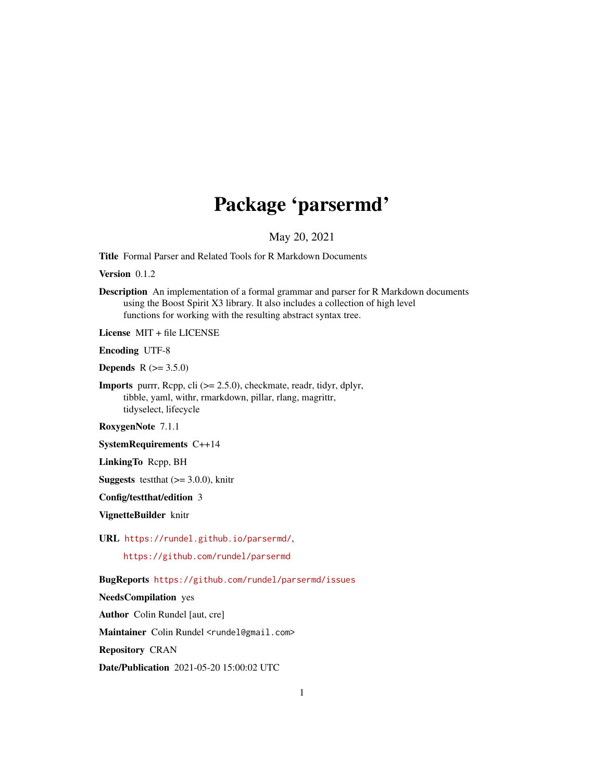## Package 'parsermd'

## May 20, 2021

<span id="page-0-0"></span>Title Formal Parser and Related Tools for R Markdown Documents

Version 0.1.2

Description An implementation of a formal grammar and parser for R Markdown documents using the Boost Spirit X3 library. It also includes a collection of high level functions for working with the resulting abstract syntax tree.

License MIT + file LICENSE

Encoding UTF-8

**Depends**  $R (= 3.5.0)$ 

Imports purrr, Rcpp, cli (>= 2.5.0), checkmate, readr, tidyr, dplyr, tibble, yaml, withr, rmarkdown, pillar, rlang, magrittr, tidyselect, lifecycle

RoxygenNote 7.1.1

SystemRequirements C++14

LinkingTo Rcpp, BH

**Suggests** test that  $(>= 3.0.0)$ , knitr

Config/testthat/edition 3

VignetteBuilder knitr

URL <https://rundel.github.io/parsermd/>,

<https://github.com/rundel/parsermd>

BugReports <https://github.com/rundel/parsermd/issues>

NeedsCompilation yes

Author Colin Rundel [aut, cre]

Maintainer Colin Rundel <rundel@gmail.com>

Repository CRAN

Date/Publication 2021-05-20 15:00:02 UTC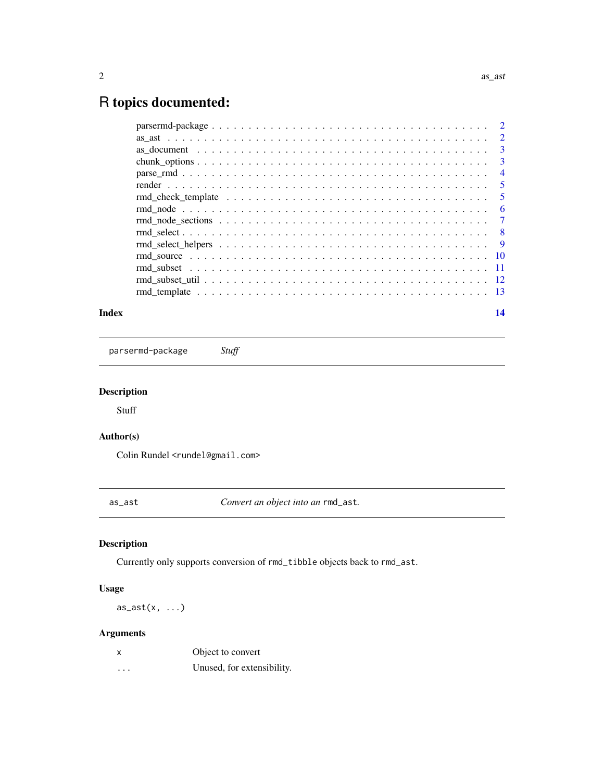## <span id="page-1-0"></span>R topics documented:

|  | $\overline{2}$ |
|--|----------------|
|  | $\overline{3}$ |
|  | 3              |
|  | $\overline{4}$ |
|  | $\overline{5}$ |
|  | 5              |
|  | 6              |
|  | $\overline{7}$ |
|  |                |
|  |                |
|  |                |
|  |                |
|  |                |
|  |                |
|  |                |
|  |                |

#### **Index** 2008 **[14](#page-13-0)**

parsermd-package *Stuff*

## Description

Stuff

## Author(s)

Colin Rundel <rundel@gmail.com>

as\_ast *Convert an object into an* rmd\_ast*.*

## Description

Currently only supports conversion of rmd\_tibble objects back to rmd\_ast.

## Usage

 $as_ast(x, \ldots)$ 

## Arguments

| X        | Object to convert          |
|----------|----------------------------|
| $\cdots$ | Unused, for extensibility. |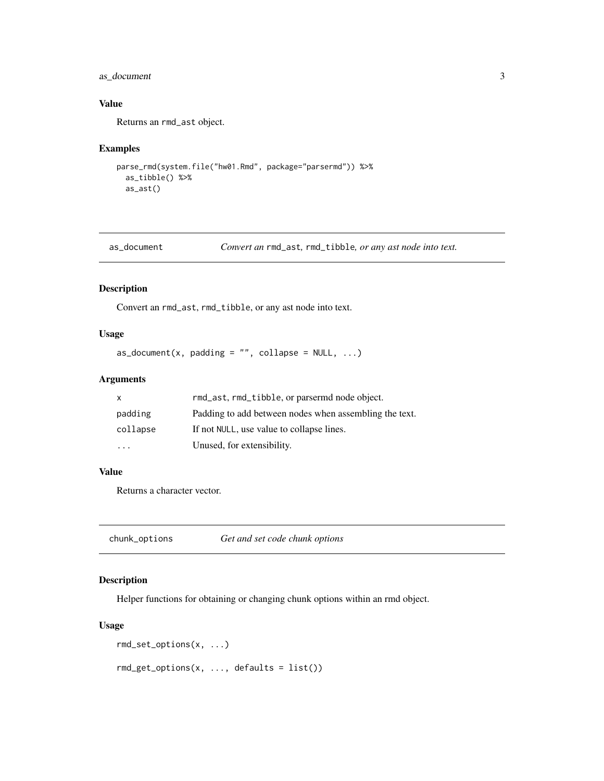## <span id="page-2-0"></span>as\_document 3

## Value

Returns an rmd\_ast object.

## Examples

```
parse_rmd(system.file("hw01.Rmd", package="parsermd")) %>%
  as_tibble() %>%
  as_ast()
```
as\_document *Convert an* rmd\_ast*,* rmd\_tibble*, or any ast node into text.*

#### Description

Convert an rmd\_ast, rmd\_tibble, or any ast node into text.

#### Usage

```
as\_document(x, padding = "", collapse = NULL, ...)
```
## Arguments

| X        | rmd_ast, rmd_tibble, or parsermd node object.          |
|----------|--------------------------------------------------------|
| padding  | Padding to add between nodes when assembling the text. |
| collapse | If not NULL, use value to collapse lines.              |
| $\cdot$  | Unused, for extensibility.                             |

#### Value

Returns a character vector.

chunk\_options *Get and set code chunk options*

## Description

Helper functions for obtaining or changing chunk options within an rmd object.

#### Usage

```
rmd_set_options(x, ...)
rmd\_get\_options(x, ..., defaults = list())
```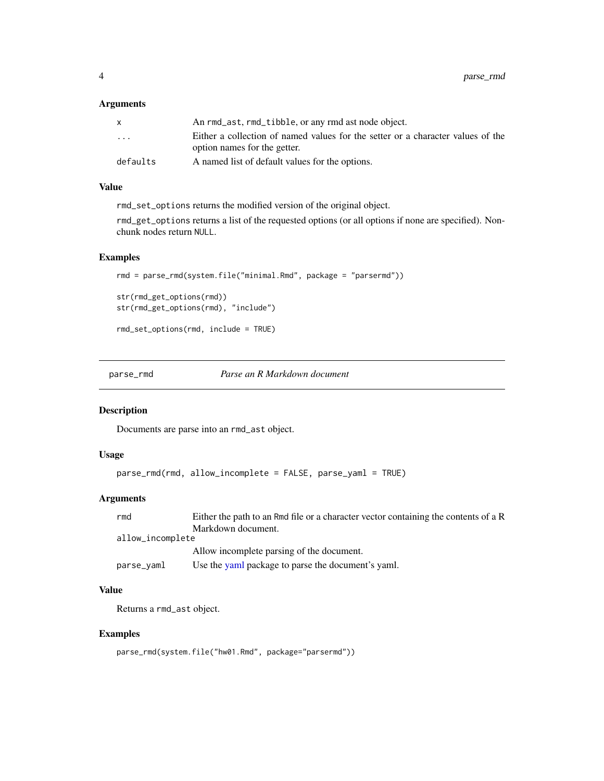## <span id="page-3-0"></span>Arguments

| An rmd_ast, rmd_tibble, or any rmd ast node object.                             |
|---------------------------------------------------------------------------------|
| Either a collection of named values for the setter or a character values of the |
| option names for the getter.                                                    |
| A named list of default values for the options.                                 |
|                                                                                 |

## Value

rmd\_set\_options returns the modified version of the original object.

rmd\_get\_options returns a list of the requested options (or all options if none are specified). Nonchunk nodes return NULL.

## Examples

```
rmd = parse_rmd(system.file("minimal.Rmd", package = "parsermd"))
str(rmd_get_options(rmd))
str(rmd_get_options(rmd), "include")
rmd_set_options(rmd, include = TRUE)
```
parse\_rmd *Parse an R Markdown document*

#### Description

Documents are parse into an rmd\_ast object.

#### Usage

```
parse_rmd(rmd, allow_incomplete = FALSE, parse_yaml = TRUE)
```
## Arguments

| rmd              | Either the path to an Rmd file or a character vector containing the contents of a R |
|------------------|-------------------------------------------------------------------------------------|
|                  | Markdown document.                                                                  |
| allow_incomplete |                                                                                     |
|                  | Allow incomplete parsing of the document.                                           |
| parse_yaml       | Use the yaml package to parse the document's yaml.                                  |

## Value

Returns a rmd\_ast object.

## Examples

```
parse_rmd(system.file("hw01.Rmd", package="parsermd"))
```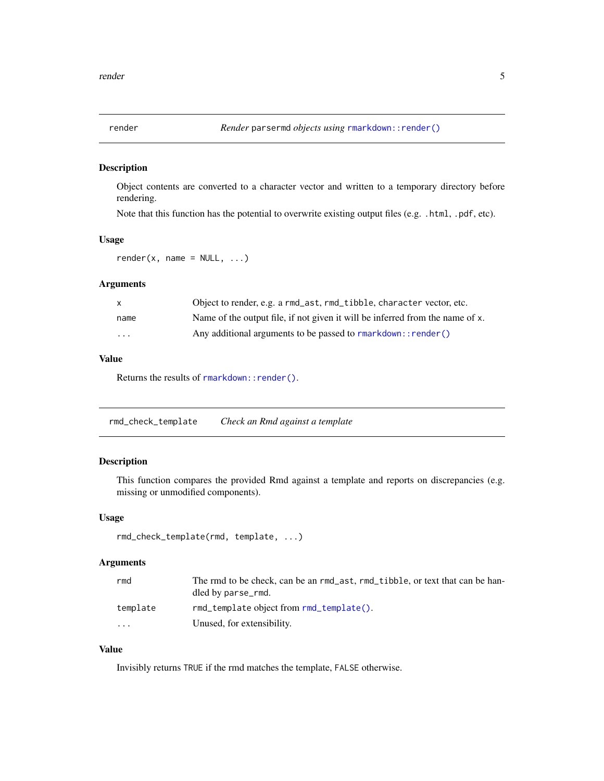<span id="page-4-0"></span>

Object contents are converted to a character vector and written to a temporary directory before rendering.

Note that this function has the potential to overwrite existing output files (e.g. .html, .pdf, etc).

## Usage

 $render(x, name = NULL, ...)$ 

#### Arguments

| X        | Object to render, e.g. a rmd_ast, rmd_tibble, character vector, etc.          |
|----------|-------------------------------------------------------------------------------|
| name     | Name of the output file, if not given it will be inferred from the name of x. |
| $\cdots$ | Any additional arguments to be passed to rmarkdown:: render()                 |

## Value

Returns the results of rmarkdown:: render().

rmd\_check\_template *Check an Rmd against a template*

## Description

This function compares the provided Rmd against a template and reports on discrepancies (e.g. missing or unmodified components).

#### Usage

```
rmd_check_template(rmd, template, ...)
```
#### Arguments

| rmd      | The rmd to be check, can be an rmd_ast, rmd_tibble, or text that can be han-<br>dled by parse_rmd. |
|----------|----------------------------------------------------------------------------------------------------|
| template | $rmd$ template object from $rm\_template()$ .                                                      |
| $\cdot$  | Unused, for extensibility.                                                                         |

## Value

Invisibly returns TRUE if the rmd matches the template, FALSE otherwise.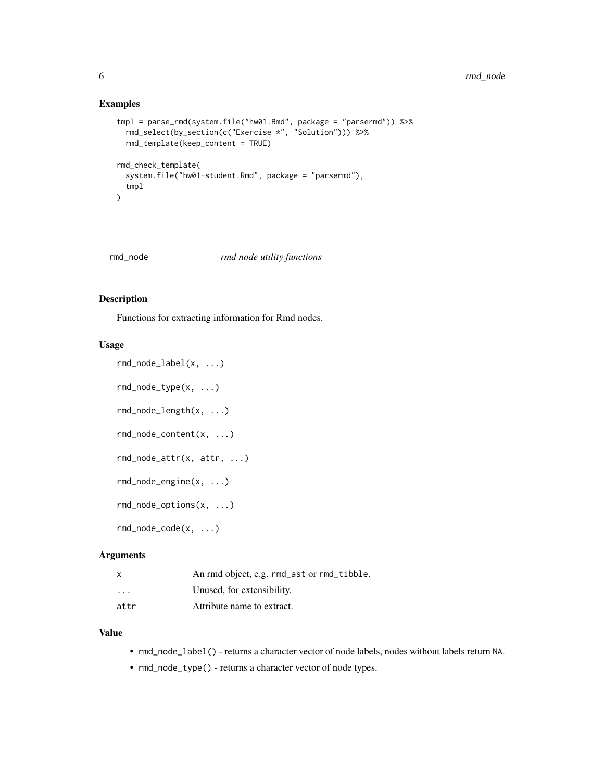#### Examples

```
tmpl = parse_rmd(system.file("hw01.Rmd", package = "parsermd")) %>%
 rmd_select(by_section(c("Exercise *", "Solution"))) %>%
 rmd_template(keep_content = TRUE)
rmd_check_template(
 system.file("hw01-student.Rmd", package = "parsermd"),
 tmpl
)
```
#### rmd\_node *rmd node utility functions*

## Description

Functions for extracting information for Rmd nodes.

#### Usage

```
rmd_node_label(x, ...)
rmd_node_type(x, ...)
rmd_node_length(x, ...)
rmd_node_content(x, ...)
rmd_node_attr(x, attr, ...)
rmd_node_engine(x, ...)
rmd_node_options(x, ...)
rmd_node_code(x, ...)
```
### Arguments

|                         | An rmd object, e.g. rmd_ast or rmd_tibble. |
|-------------------------|--------------------------------------------|
| $\cdot$ $\cdot$ $\cdot$ | Unused, for extensibility.                 |
| attr                    | Attribute name to extract.                 |

#### Value

- rmd\_node\_label() returns a character vector of node labels, nodes without labels return NA.
- rmd\_node\_type() returns a character vector of node types.

<span id="page-5-0"></span>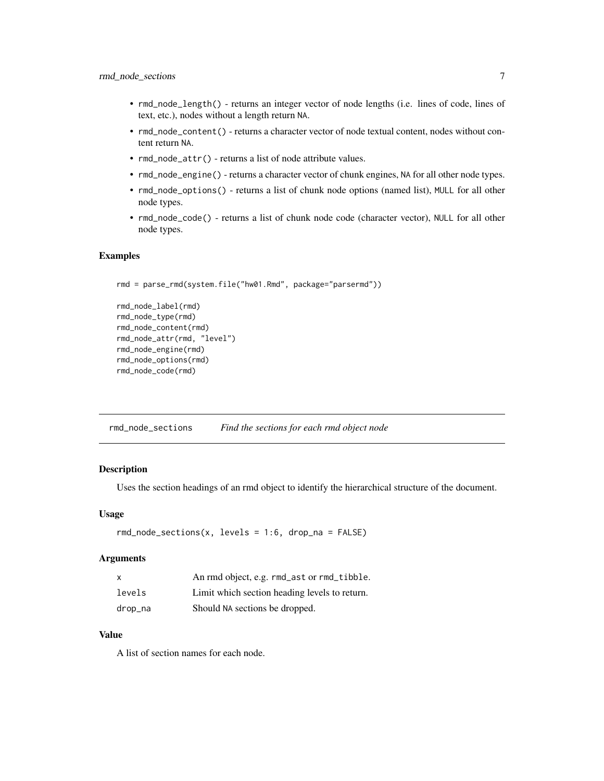- <span id="page-6-0"></span>• rmd\_node\_length() - returns an integer vector of node lengths (i.e. lines of code, lines of text, etc.), nodes without a length return NA.
- rmd\_node\_content() returns a character vector of node textual content, nodes without content return NA.
- rmd\_node\_attr() returns a list of node attribute values.
- rmd\_node\_engine() returns a character vector of chunk engines, NA for all other node types.
- rmd\_node\_options() returns a list of chunk node options (named list), MULL for all other node types.
- rmd\_node\_code() returns a list of chunk node code (character vector), NULL for all other node types.

## Examples

```
rmd = parse_rmd(system.file("hw01.Rmd", package="parsermd"))
```

```
rmd_node_label(rmd)
rmd_node_type(rmd)
rmd_node_content(rmd)
rmd_node_attr(rmd, "level")
rmd_node_engine(rmd)
rmd_node_options(rmd)
rmd_node_code(rmd)
```
rmd\_node\_sections *Find the sections for each rmd object node*

#### Description

Uses the section headings of an rmd object to identify the hierarchical structure of the document.

#### Usage

```
rmd\_node\_sections(x, levels = 1:6, drop\_na = FALSE)
```
#### Arguments

| $\mathsf{x}$ | An rmd object, e.g. rmd_ast or rmd_tibble.    |
|--------------|-----------------------------------------------|
| levels       | Limit which section heading levels to return. |
| drop_na      | Should NA sections be dropped.                |

#### Value

A list of section names for each node.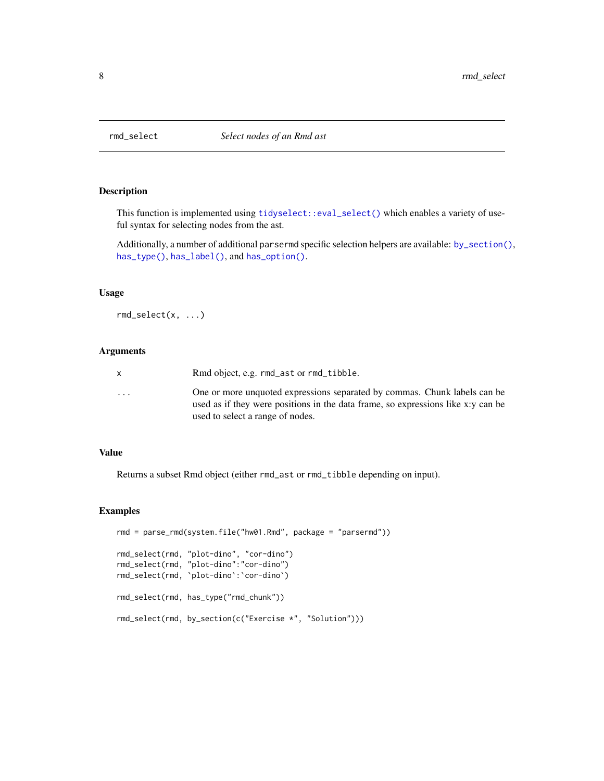<span id="page-7-1"></span><span id="page-7-0"></span>

This function is implemented using [tidyselect::eval\\_select\(\)](#page-0-0) which enables a variety of useful syntax for selecting nodes from the ast.

Additionally, a number of additional parsermd specific selection helpers are available: [by\\_section\(\)](#page-8-1), [has\\_type\(\)](#page-8-1), [has\\_label\(\)](#page-8-1), and [has\\_option\(\)](#page-8-1).

#### Usage

rmd\_select(x, ...)

#### Arguments

|                         | Rmd object, e.g. rmd_ast or rmd_tibble.                                                                                                                                                           |
|-------------------------|---------------------------------------------------------------------------------------------------------------------------------------------------------------------------------------------------|
| $\cdot$ $\cdot$ $\cdot$ | One or more unquoted expressions separated by commas. Chunk labels can be<br>used as if they were positions in the data frame, so expressions like x:y can be<br>used to select a range of nodes. |
|                         |                                                                                                                                                                                                   |

#### Value

Returns a subset Rmd object (either rmd\_ast or rmd\_tibble depending on input).

## Examples

```
rmd = parse_rmd(system.file("hw01.Rmd", package = "parsermd"))
rmd_select(rmd, "plot-dino", "cor-dino")
rmd_select(rmd, "plot-dino":"cor-dino")
rmd_select(rmd, `plot-dino`:`cor-dino`)
rmd_select(rmd, has_type("rmd_chunk"))
rmd_select(rmd, by_section(c("Exercise *", "Solution")))
```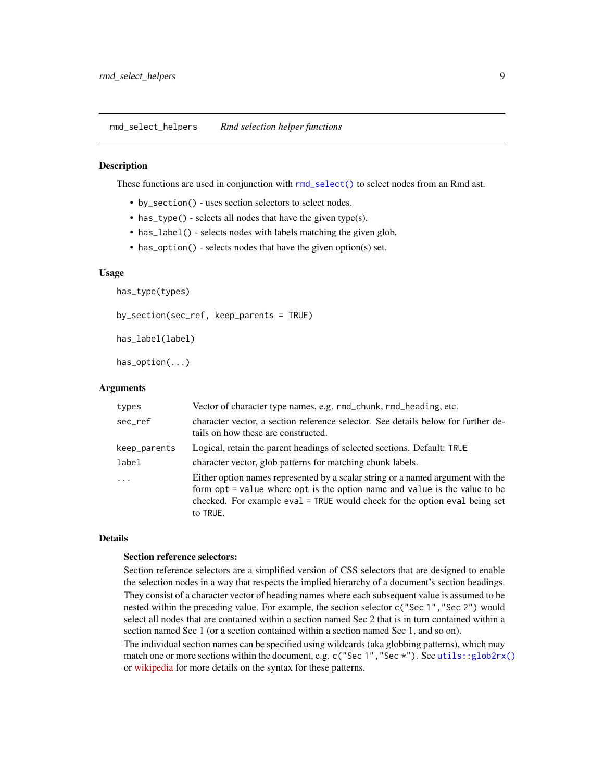<span id="page-8-0"></span>rmd\_select\_helpers *Rmd selection helper functions*

#### <span id="page-8-1"></span>Description

These functions are used in conjunction with [rmd\\_select\(\)](#page-7-1) to select nodes from an Rmd ast.

- by\_section() uses section selectors to select nodes.
- has\_type() selects all nodes that have the given type(s).
- has\_label() selects nodes with labels matching the given glob.
- has\_option() selects nodes that have the given option(s) set.

#### Usage

has\_type(types)

by\_section(sec\_ref, keep\_parents = TRUE)

has\_label(label)

has\_option(...)

#### Arguments

| types        | Vector of character type names, e.g. rmd_chunk, rmd_heading, etc.                                                                                                                                                                                       |
|--------------|---------------------------------------------------------------------------------------------------------------------------------------------------------------------------------------------------------------------------------------------------------|
| sec_ref      | character vector, a section reference selector. See details below for further de-<br>tails on how these are constructed.                                                                                                                                |
| keep_parents | Logical, retain the parent headings of selected sections. Default: TRUE                                                                                                                                                                                 |
| label        | character vector, glob patterns for matching chunk labels.                                                                                                                                                                                              |
| $\cdot$      | Either option names represented by a scalar string or a named argument with the<br>form opt = value where opt is the option name and value is the value to be<br>checked. For example eval = TRUE would check for the option eval being set<br>to TRUE. |

#### Details

#### Section reference selectors:

Section reference selectors are a simplified version of CSS selectors that are designed to enable the selection nodes in a way that respects the implied hierarchy of a document's section headings. They consist of a character vector of heading names where each subsequent value is assumed to be nested within the preceding value. For example, the section selector c("Sec 1", "Sec 2") would select all nodes that are contained within a section named Sec 2 that is in turn contained within a section named Sec 1 (or a section contained within a section named Sec 1, and so on).

The individual section names can be specified using wildcards (aka globbing patterns), which may match one or more sections within the document, e.g. c("Sec 1", "Sec \*"). See [utils::glob2rx\(\)](#page-0-0) or [wikipedia](https://en.wikipedia.org/wiki/Glob_(programming)) for more details on the syntax for these patterns.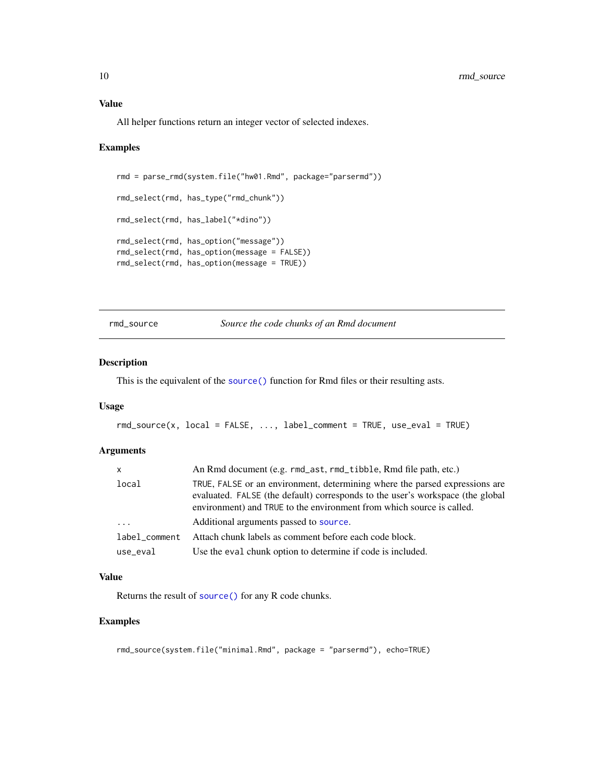<span id="page-9-0"></span>All helper functions return an integer vector of selected indexes.

#### Examples

```
rmd = parse_rmd(system.file("hw01.Rmd", package="parsermd"))
rmd_select(rmd, has_type("rmd_chunk"))
rmd_select(rmd, has_label("*dino"))
rmd_select(rmd, has_option("message"))
rmd_select(rmd, has_option(message = FALSE))
rmd_select(rmd, has_option(message = TRUE))
```
rmd\_source *Source the code chunks of an Rmd document*

#### Description

This is the equivalent of the [source\(\)](#page-0-0) function for Rmd files or their resulting asts.

#### Usage

```
rmd\_source(x, local = FALSE, ..., label\_comment = TRUE, use\_eval = TRUE)
```
#### Arguments

| X             | An Rmd document (e.g. rmd_ast, rmd_tibble, Rmd file path, etc.)                                                                                                                                                                        |  |
|---------------|----------------------------------------------------------------------------------------------------------------------------------------------------------------------------------------------------------------------------------------|--|
| local         | TRUE, FALSE or an environment, determining where the parsed expressions are<br>evaluated. FALSE (the default) corresponds to the user's workspace (the global<br>environment) and TRUE to the environment from which source is called. |  |
| $\ddots$      | Additional arguments passed to source.                                                                                                                                                                                                 |  |
| label comment | Attach chunk labels as comment before each code block.                                                                                                                                                                                 |  |
| use_eval      | Use the eval chunk option to determine if code is included.                                                                                                                                                                            |  |

#### Value

Returns the result of [source\(\)](#page-0-0) for any R code chunks.

## Examples

rmd\_source(system.file("minimal.Rmd", package = "parsermd"), echo=TRUE)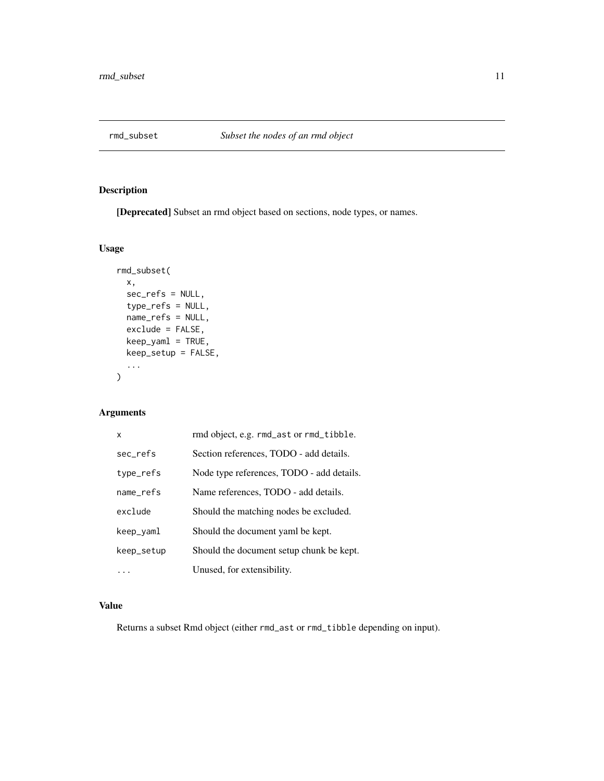<span id="page-10-1"></span><span id="page-10-0"></span>

[Deprecated] Subset an rmd object based on sections, node types, or names.

```
Usage
```

```
rmd_subset(
 x,
  sec_refs = NULL,
  type_refs = NULL,
 name_refs = NULL,
 exclude = FALSE,
 keep_yaml = TRUE,
 keep_setup = FALSE,
  ...
)
```
## Arguments

| X          | rmd object, e.g. rmd_ast or rmd_tibble.   |
|------------|-------------------------------------------|
| sec_refs   | Section references, TODO - add details.   |
| type_refs  | Node type references, TODO - add details. |
| name_refs  | Name references, TODO - add details.      |
| exclude    | Should the matching nodes be excluded.    |
| keep_yaml  | Should the document yaml be kept.         |
| keep_setup | Should the document setup chunk be kept.  |
|            | Unused, for extensibility.                |

## Value

Returns a subset Rmd object (either rmd\_ast or rmd\_tibble depending on input).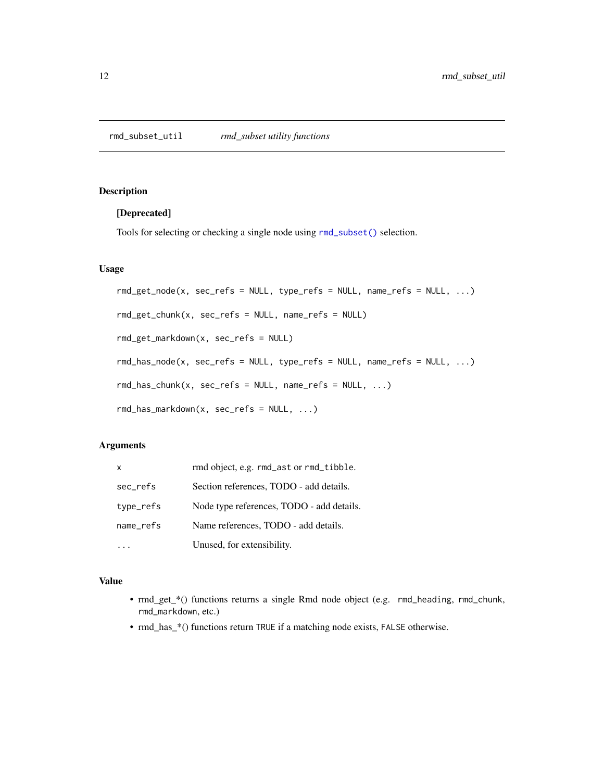### <span id="page-11-0"></span>[Deprecated]

Tools for selecting or checking a single node using [rmd\\_subset\(\)](#page-10-1) selection.

#### Usage

```
rmd_get_node(x, sec_refs = NULL, type_refs = NULL, name_refs = NULL, ...)
rmd_get_chunk(x, sec_refs = NULL, name_refs = NULL)
rmd_get_markdown(x, sec_refs = NULL)
rmd\_has\_node(x, sec\_refs = NULL, type\_refs = NULL, name\_refs = NULL, ...)rmd_has_chunk(x, sec_refs = NULL, name_refs = NULL, ...)
rmd_has_markdown(x, sec_refs = NULL, ...)
```
## Arguments

| x         | rmd object, e.g. rmd_ast or rmd_tibble.   |
|-----------|-------------------------------------------|
| sec_refs  | Section references, TODO - add details.   |
| type_refs | Node type references, TODO - add details. |
| name_refs | Name references, TODO - add details.      |
|           | Unused, for extensibility.                |

## Value

- rmd\_get\_\*() functions returns a single Rmd node object (e.g. rmd\_heading, rmd\_chunk, rmd\_markdown, etc.)
- rmd\_has\_\*() functions return TRUE if a matching node exists, FALSE otherwise.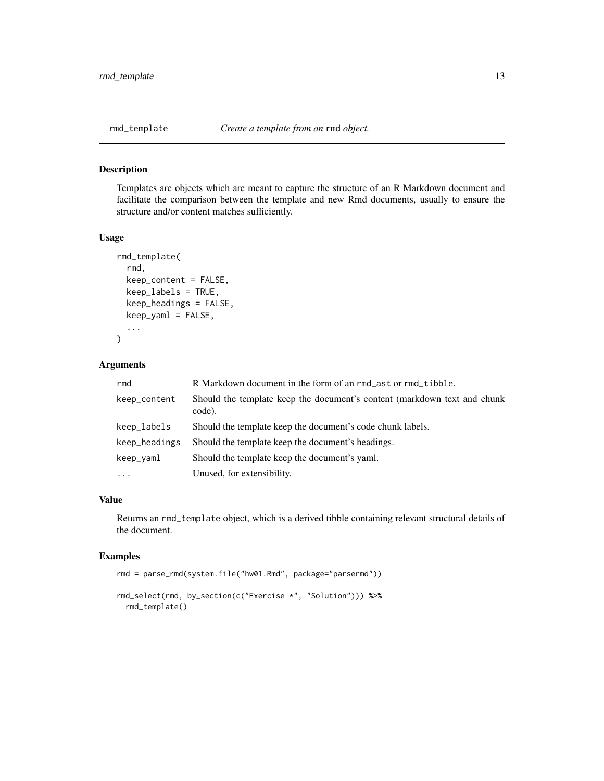<span id="page-12-1"></span><span id="page-12-0"></span>

Templates are objects which are meant to capture the structure of an R Markdown document and facilitate the comparison between the template and new Rmd documents, usually to ensure the structure and/or content matches sufficiently.

#### Usage

```
rmd_template(
  rmd,
  keep_content = FALSE,
  keep_labels = TRUE,
 keep_headings = FALSE,
 keep_yaml = FALSE,
  ...
)
```
## Arguments

| rmd           | R Markdown document in the form of an rmd_ast or rmd_tibble.                       |
|---------------|------------------------------------------------------------------------------------|
| keep_content  | Should the template keep the document's content (markdown text and chunk<br>code). |
| keep_labels   | Should the template keep the document's code chunk labels.                         |
| keep_headings | Should the template keep the document's headings.                                  |
| keep_yaml     | Should the template keep the document's yaml.                                      |
| $\ddotsc$     | Unused, for extensibility.                                                         |

## Value

Returns an rmd\_template object, which is a derived tibble containing relevant structural details of the document.

#### Examples

```
rmd = parse_rmd(system.file("hw01.Rmd", package="parsermd"))
```

```
rmd_select(rmd, by_section(c("Exercise *", "Solution"))) %>%
 rmd_template()
```